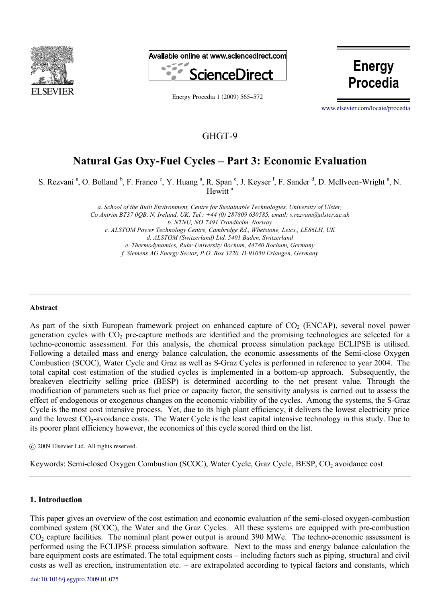



Energy Procedia 1  $(2009)$  565–572

**Energy Procedia**

[www.elsevier.com/locate/procedia](http://www.elsevier.com/locate/procedia)

## GHGT-9

# **Natural Gas Oxy-Fuel Cycles – Part 3: Economic Evaluation**

S. Rezvani<sup>a</sup>, O. Bolland <sup>b</sup>, F. Franco<sup>c</sup>, Y. Huang<sup>a</sup>, R. Span<sup>e</sup>, J. Keyser<sup>f</sup>, F. Sander<sup>d</sup>, D. McIlveen-Wright<sup>a</sup>, N. Hewitt<sup>a</sup>

> *a*. *School of the Built Environment, Centre for Sustainable Technologies, University of Ulster, Co Antrim BT37 0QB, N. Ireland, UK, Tel.: +44 (0) 287809 630585, email: s.rezvani@ulster.ac.uk b. NTNU, NO-7491 Trondheim, Norway c. ALSTOM Power Technology Centre, Cambridge Rd., Whetstone, Leics., LE86LH, UK d. ALSTOM (Switzerland) Ltd, 5401 Baden, Switzerland e. Thermodynamics, Ruhr-University Bochum, 44780 Bochum, Germany f. Siemens AG Energy Sector, P.O. Box 3220, D-91050 Erlangen, Germany*

#### **Abstract**

As part of the sixth European framework project on enhanced capture of CO<sub>2</sub> (ENCAP), several novel power generation cycles with CO2 pre-capture methods are identified and the promising technologies are selected for a techno-economic assessment. For this analysis, the chemical process simulation package ECLIPSE is utilised. Following a detailed mass and energy balance calculation, the economic assessments of the Semi-close Oxygen Combustion (SCOC), Water Cycle and Graz as well as S-Graz Cycles is performed in reference to year 2004. The total capital cost estimation of the studied cycles is implemented in a bottom-up approach. Subsequently, the breakeven electricity selling price (BESP) is determined according to the net present value. Through the modification of parameters such as fuel price or capacity factor, the sensitivity analysis is carried out to assess the effect of endogenous or exogenous changes on the economic viability of the cycles. Among the systems, the S-Graz Cycle is the most cost intensive process. Yet, due to its high plant efficiency, it delivers the lowest electricity price and the lowest CO2-avoidance costs. The Water Cycle is the least capital intensive technology in this study. Due to its poorer plant efficiency however, the economics of this cycle scored third on the list.

© 2008 Elsevier Ltd. All rights reserved c 2009 Elsevier Ltd. All rights reserved.

Keywords: Semi-closed Oxygen Combustion (SCOC), Water Cycle, Graz Cycle, BESP, CO<sub>2</sub> avoidance cost

### **1. Introduction**

This paper gives an overview of the cost estimation and economic evaluation of the semi-closed oxygen-combustion combined system (SCOC), the Water and the Graz Cycles. All these systems are equipped with pre-combustion CO<sub>2</sub> capture facilities. The nominal plant power output is around 390 MWe. The techno-economic assessment is performed using the ECLIPSE process simulation software. Next to the mass and energy balance calculation the bare equipment costs are estimated. The total equipment costs – including factors such as piping, structural and civil costs as well as erection, instrumentation etc. – are extrapolated according to typical factors and constants, which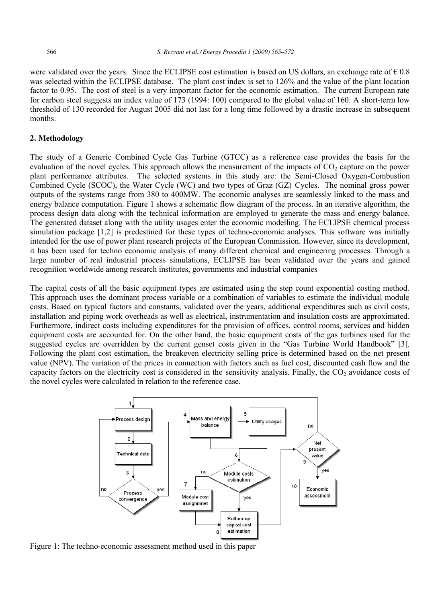were validated over the years. Since the ECLIPSE cost estimation is based on US dollars, an exchange rate of  $\epsilon$  0.8 was selected within the ECLIPSE database. The plant cost index is set to 126% and the value of the plant location factor to 0.95. The cost of steel is a very important factor for the economic estimation. The current European rate for carbon steel suggests an index value of 173 (1994: 100) compared to the global value of 160. A short-term low threshold of 130 recorded for August 2005 did not last for a long time followed by a drastic increase in subsequent months.

### **2. Methodology**

The study of a Generic Combined Cycle Gas Turbine (GTCC) as a reference case provides the basis for the evaluation of the novel cycles. This approach allows the measurement of the impacts of  $CO<sub>2</sub>$  capture on the power plant performance attributes. The selected systems in this study are: the Semi-Closed Oxygen-Combustion Combined Cycle (SCOC), the Water Cycle (WC) and two types of Graz (GZ) Cycles. The nominal gross power outputs of the systems range from 380 to 400MW. The economic analyses are seamlessly linked to the mass and energy balance computation. Figure 1 shows a schematic flow diagram of the process. In an iterative algorithm, the process design data along with the technical information are employed to generate the mass and energy balance. The generated dataset along with the utility usages enter the economic modelling. The ECLIPSE chemical process simulation package [1,2] is predestined for these types of techno-economic analyses. This software was initially intended for the use of power plant research projects of the European Commission. However, since its development, it has been used for techno economic analysis of many different chemical and engineering processes. Through a large number of real industrial process simulations, ECLIPSE has been validated over the years and gained recognition worldwide among research institutes, governments and industrial companies

The capital costs of all the basic equipment types are estimated using the step count exponential costing method. This approach uses the dominant process variable or a combination of variables to estimate the individual module costs. Based on typical factors and constants, validated over the years, additional expenditures such as civil costs, installation and piping work overheads as well as electrical, instrumentation and insulation costs are approximated. Furthermore, indirect costs including expenditures for the provision of offices, control rooms, services and hidden equipment costs are accounted for. On the other hand, the basic equipment costs of the gas turbines used for the suggested cycles are overridden by the current genset costs given in the "Gas Turbine World Handbook" [3]. Following the plant cost estimation, the breakeven electricity selling price is determined based on the net present value (NPV). The variation of the prices in connection with factors such as fuel cost, discounted cash flow and the capacity factors on the electricity cost is considered in the sensitivity analysis. Finally, the  $CO<sub>2</sub>$  avoidance costs of the novel cycles were calculated in relation to the reference case.



Figure 1: The techno-economic assessment method used in this paper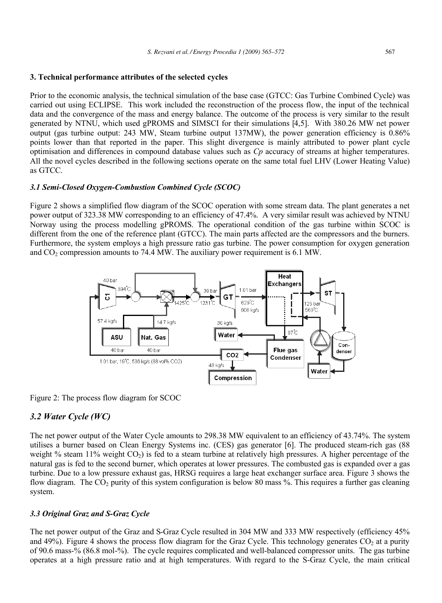### **3. Technical performance attributes of the selected cycles**

Prior to the economic analysis, the technical simulation of the base case (GTCC: Gas Turbine Combined Cycle) was carried out using ECLIPSE. This work included the reconstruction of the process flow, the input of the technical data and the convergence of the mass and energy balance. The outcome of the process is very similar to the result generated by NTNU, which used gPROMS and SIMSCI for their simulations [4,5]. With 380.26 MW net power output (gas turbine output: 243 MW, Steam turbine output 137MW), the power generation efficiency is 0.86% points lower than that reported in the paper. This slight divergence is mainly attributed to power plant cycle optimisation and differences in compound database values such as *Cp* accuracy of streams at higher temperatures. All the novel cycles described in the following sections operate on the same total fuel LHV (Lower Heating Value) as GTCC.

### *3.1 Semi-Closed Oxygen-Combustion Combined Cycle (SCOC)*

Figure 2 shows a simplified flow diagram of the SCOC operation with some stream data. The plant generates a net power output of 323.38 MW corresponding to an efficiency of 47.4%. A very similar result was achieved by NTNU Norway using the process modelling gPROMS. The operational condition of the gas turbine within SCOC is different from the one of the reference plant (GTCC). The main parts affected are the compressors and the burners. Furthermore, the system employs a high pressure ratio gas turbine. The power consumption for oxygen generation and  $CO<sub>2</sub>$  compression amounts to 74.4 MW. The auxiliary power requirement is 6.1 MW.



Figure 2: The process flow diagram for SCOC

### *3.2 Water Cycle (WC)*

The net power output of the Water Cycle amounts to 298.38 MW equivalent to an efficiency of 43.74%. The system utilises a burner based on Clean Energy Systems inc. (CES) gas generator [6]. The produced steam-rich gas (88 weight  $\%$  steam 11% weight  $CO<sub>2</sub>$ ) is fed to a steam turbine at relatively high pressures. A higher percentage of the natural gas is fed to the second burner, which operates at lower pressures. The combusted gas is expanded over a gas turbine. Due to a low pressure exhaust gas, HRSG requires a large heat exchanger surface area. Figure 3 shows the flow diagram. The  $CO<sub>2</sub>$  purity of this system configuration is below 80 mass %. This requires a further gas cleaning system.

### *3.3 Original Graz and S-Graz Cycle*

The net power output of the Graz and S-Graz Cycle resulted in 304 MW and 333 MW respectively (efficiency 45% and 49%). Figure 4 shows the process flow diagram for the Graz Cycle. This technology generates  $CO_2$  at a purity of 90.6 mass-% (86.8 mol-%). The cycle requires complicated and well-balanced compressor units. The gas turbine operates at a high pressure ratio and at high temperatures. With regard to the S-Graz Cycle, the main critical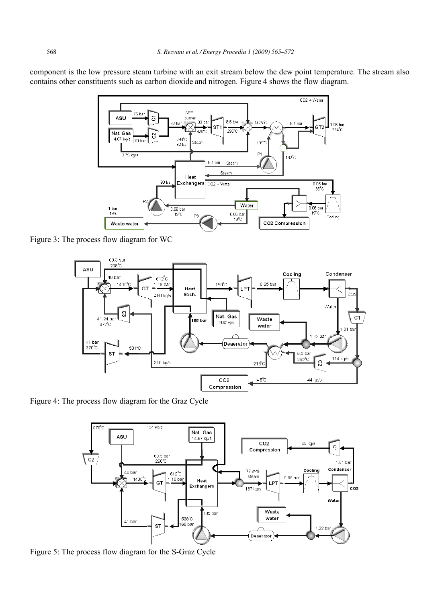component is the low pressure steam turbine with an exit stream below the dew point temperature. The stream also contains other constituents such as carbon dioxide and nitrogen. Figure 4 shows the flow diagram.



Figure 3: The process flow diagram for WC



Figure 4: The process flow diagram for the Graz Cycle



Figure 5: The process flow diagram for the S-Graz Cycle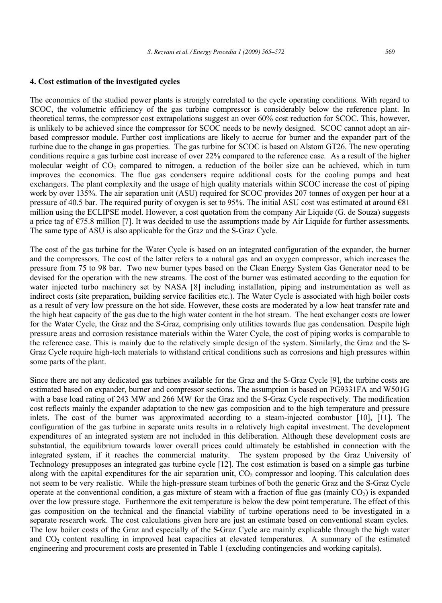### **4. Cost estimation of the investigated cycles**

The economics of the studied power plants is strongly correlated to the cycle operating conditions. With regard to SCOC, the volumetric efficiency of the gas turbine compressor is considerably below the reference plant. In theoretical terms, the compressor cost extrapolations suggest an over 60% cost reduction for SCOC. This, however, is unlikely to be achieved since the compressor for SCOC needs to be newly designed. SCOC cannot adopt an airbased compressor module. Further cost implications are likely to accrue for burner and the expander part of the turbine due to the change in gas properties. The gas turbine for SCOC is based on Alstom GT26. The new operating conditions require a gas turbine cost increase of over 22% compared to the reference case. As a result of the higher molecular weight of  $CO_2$  compared to nitrogen, a reduction of the boiler size can be achieved, which in turn improves the economics. The flue gas condensers require additional costs for the cooling pumps and heat exchangers. The plant complexity and the usage of high quality materials within SCOC increase the cost of piping work by over 135%. The air separation unit (ASU) required for SCOC provides 207 tonnes of oxygen per hour at a pressure of 40.5 bar. The required purity of oxygen is set to 95%. The initial ASU cost was estimated at around €81 million using the ECLIPSE model. However, a cost quotation from the company Air Liquide (G. de Souza) suggests a price tag of  $\epsilon$ 75.8 million [7]. It was decided to use the assumptions made by Air Liquide for further assessments. The same type of ASU is also applicable for the Graz and the S-Graz Cycle.

The cost of the gas turbine for the Water Cycle is based on an integrated configuration of the expander, the burner and the compressors. The cost of the latter refers to a natural gas and an oxygen compressor, which increases the pressure from 75 to 98 bar. Two new burner types based on the Clean Energy System Gas Generator need to be devised for the operation with the new streams. The cost of the burner was estimated according to the equation for water injected turbo machinery set by NASA [8] including installation, piping and instrumentation as well as indirect costs (site preparation, building service facilities etc.). The Water Cycle is associated with high boiler costs as a result of very low pressure on the hot side. However, these costs are moderated by a low heat transfer rate and the high heat capacity of the gas due to the high water content in the hot stream. The heat exchanger costs are lower for the Water Cycle, the Graz and the S-Graz, comprising only utilities towards flue gas condensation. Despite high pressure areas and corrosion resistance materials within the Water Cycle, the cost of piping works is comparable to the reference case. This is mainly due to the relatively simple design of the system. Similarly, the Graz and the S-Graz Cycle require high-tech materials to withstand critical conditions such as corrosions and high pressures within some parts of the plant.

Since there are not any dedicated gas turbines available for the Graz and the S-Graz Cycle [9], the turbine costs are estimated based on expander, burner and compressor sections. The assumption is based on PG9331FA and W501G with a base load rating of 243 MW and 266 MW for the Graz and the S-Graz Cycle respectively. The modification cost reflects mainly the expander adaptation to the new gas composition and to the high temperature and pressure inlets. The cost of the burner was approximated according to a steam-injected combustor [10], [11]. The configuration of the gas turbine in separate units results in a relatively high capital investment. The development expenditures of an integrated system are not included in this deliberation. Although these development costs are substantial, the equilibrium towards lower overall prices could ultimately be established in connection with the integrated system, if it reaches the commercial maturity. The system proposed by the Graz University of Technology presupposes an integrated gas turbine cycle [12]. The cost estimation is based on a simple gas turbine along with the capital expenditures for the air separation unit,  $CO<sub>2</sub>$  compressor and looping. This calculation does not seem to be very realistic. While the high-pressure steam turbines of both the generic Graz and the S-Graz Cycle operate at the conventional condition, a gas mixture of steam with a fraction of flue gas (mainly  $CO<sub>2</sub>$ ) is expanded over the low pressure stage. Furthermore the exit temperature is below the dew point temperature. The effect of this gas composition on the technical and the financial viability of turbine operations need to be investigated in a separate research work. The cost calculations given here are just an estimate based on conventional steam cycles. The low boiler costs of the Graz and especially of the S-Graz Cycle are mainly explicable through the high water and CO<sub>2</sub> content resulting in improved heat capacities at elevated temperatures. A summary of the estimated engineering and procurement costs are presented in Table 1 (excluding contingencies and working capitals).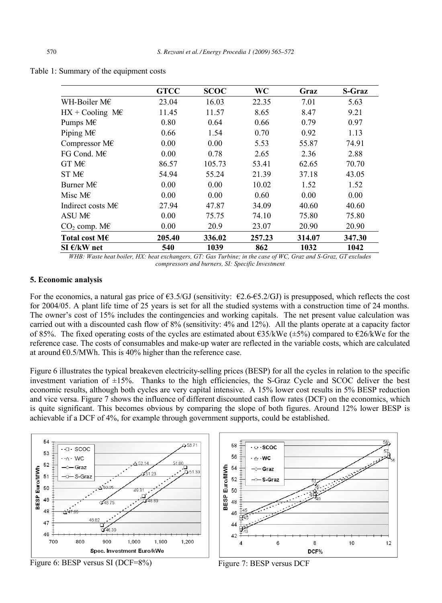|                          | <b>GTCC</b> | <b>SCOC</b> | <b>WC</b> | Graz   | <b>S-Graz</b> |
|--------------------------|-------------|-------------|-----------|--------|---------------|
| WH-Boiler M $\epsilon$   | 23.04       | 16.03       | 22.35     | 7.01   | 5.63          |
| $HX + Cooling$ M $\in$   | 11.45       | 11.57       | 8.65      | 8.47   | 9.21          |
| Pumps M€                 | 0.80        | 0.64        | 0.66      | 0.79   | 0.97          |
| Piping $M \in$           | 0.66        | 1.54        | 0.70      | 0.92   | 1.13          |
| Compressor $M\in$        | 0.00        | 0.00        | 5.53      | 55.87  | 74.91         |
| FG Cond. $M\in$          | 0.00        | 0.78        | 2.65      | 2.36   | 2.88          |
| $GTM\epsilon$            | 86.57       | 105.73      | 53.41     | 62.65  | 70.70         |
| ST M $\epsilon$          | 54.94       | 55.24       | 21.39     | 37.18  | 43.05         |
| Burner M $\epsilon$      | 0.00        | 0.00        | 10.02     | 1.52   | 1.52          |
| Misc M $\epsilon$        | 0.00        | 0.00        | 0.60      | 0.00   | 0.00          |
| Indirect costs $M \in$   | 27.94       | 47.87       | 34.09     | 40.60  | 40.60         |
| ASU M $\epsilon$         | 0.00        | 75.75       | 74.10     | 75.80  | 75.80         |
| $CO2$ comp. M $\epsilon$ | 0.00        | 20.9        | 23.07     | 20.90  | 20.90         |
| Total cost M $\epsilon$  | 205.40      | 336.02      | 257.23    | 314.07 | 347.30        |
| SI €/kW net              | 540         | 1039        | 862       | 1032   | 1042          |

*WHB: Waste heat boiler, HX: heat exchangers, GT: Gas Turbine; in the case of WC, Graz and S-Graz, GT excludes compressors and burners, SI: Specific Investment*

### **5. Economic analysis**

For the economics, a natural gas price of  $63.5/GJ$  (sensitivity:  $62.6-65.2/GJ$ ) is presupposed, which reflects the cost for 2004/05. A plant life time of 25 years is set for all the studied systems with a construction time of 24 months. The owner's cost of 15% includes the contingencies and working capitals. The net present value calculation was carried out with a discounted cash flow of 8% (sensitivity: 4% and 12%). All the plants operate at a capacity factor of 85%. The fixed operating costs of the cycles are estimated about  $\epsilon$ 35/kWe  $(\pm 5)$  compared to  $\epsilon$ 26/kWe for the reference case. The costs of consumables and make-up water are reflected in the variable costs, which are calculated at around  $\epsilon$ 0.5/MWh. This is 40% higher than the reference case.

Figure 6 illustrates the typical breakeven electricity-selling prices (BESP) for all the cycles in relation to the specific investment variation of  $\pm 15\%$ . Thanks to the high efficiencies, the S-Graz Cycle and SCOC deliver the best economic results, although both cycles are very capital intensive. A 15% lower cost results in 5% BESP reduction and vice versa. Figure 7 shows the influence of different discounted cash flow rates (DCF) on the economics, which is quite significant. This becomes obvious by comparing the slope of both figures. Around 12% lower BESP is achievable if a DCF of 4%, for example through government supports, could be established.





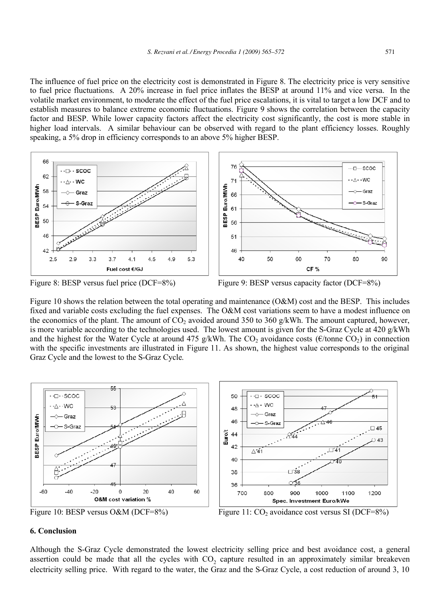The influence of fuel price on the electricity cost is demonstrated in Figure 8. The electricity price is very sensitive to fuel price fluctuations. A 20% increase in fuel price inflates the BESP at around 11% and vice versa. In the volatile market environment, to moderate the effect of the fuel price escalations, it is vital to target a low DCF and to establish measures to balance extreme economic fluctuations. Figure 9 shows the correlation between the capacity factor and BESP. While lower capacity factors affect the electricity cost significantly, the cost is more stable in higher load intervals. A similar behaviour can be observed with regard to the plant efficiency losses. Roughly speaking, a 5% drop in efficiency corresponds to an above 5% higher BESP.





Figure 10 shows the relation between the total operating and maintenance (O&M) cost and the BESP. This includes fixed and variable costs excluding the fuel expenses. The O&M cost variations seem to have a modest influence on the economics of the plant. The amount of  $CO_2$  avoided around 350 to 360 g/kWh. The amount captured, however, is more variable according to the technologies used. The lowest amount is given for the S-Graz Cycle at 420 g/kWh and the highest for the Water Cycle at around 475 g/kWh. The CO<sub>2</sub> avoidance costs ( $\epsilon$ /tonne CO<sub>2</sub>) in connection with the specific investments are illustrated in Figure 11. As shown, the highest value corresponds to the original Graz Cycle and the lowest to the S-Graz Cycle.



### **6. Conclusion**

Although the S-Graz Cycle demonstrated the lowest electricity selling price and best avoidance cost, a general assertion could be made that all the cycles with CO<sub>2</sub> capture resulted in an approximately similar breakeven electricity selling price. With regard to the water, the Graz and the S-Graz Cycle, a cost reduction of around 3, 10